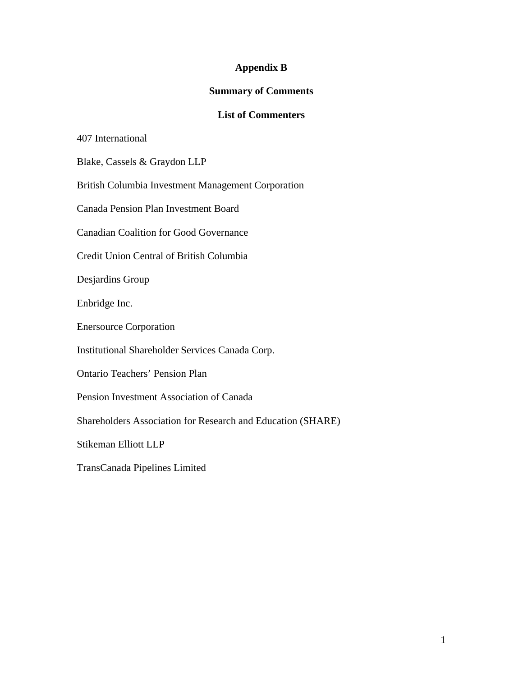## **Appendix B**

## **Summary of Comments**

## **List of Commenters**

407 International

Blake, Cassels & Graydon LLP

British Columbia Investment Management Corporation

Canada Pension Plan Investment Board

Canadian Coalition for Good Governance

Credit Union Central of British Columbia

Desjardins Group

Enbridge Inc.

Enersource Corporation

Institutional Shareholder Services Canada Corp.

Ontario Teachers' Pension Plan

Pension Investment Association of Canada

Shareholders Association for Research and Education (SHARE)

Stikeman Elliott LLP

TransCanada Pipelines Limited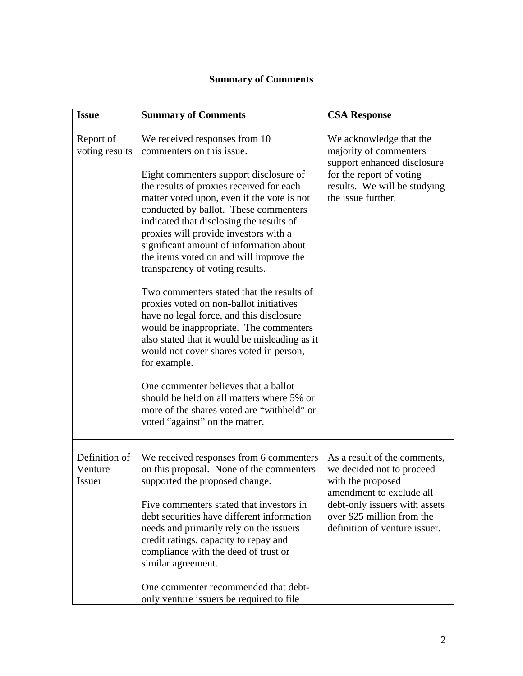## **Summary of Comments**

| <b>Issue</b>                       | <b>Summary of Comments</b>                                                                                                                                                                                                                                                                                                                                                                                                                                                                                                                                                                                                                                                                                                                                                                                                                                                                                           | <b>CSA Response</b>                                                                                                                                                                                        |
|------------------------------------|----------------------------------------------------------------------------------------------------------------------------------------------------------------------------------------------------------------------------------------------------------------------------------------------------------------------------------------------------------------------------------------------------------------------------------------------------------------------------------------------------------------------------------------------------------------------------------------------------------------------------------------------------------------------------------------------------------------------------------------------------------------------------------------------------------------------------------------------------------------------------------------------------------------------|------------------------------------------------------------------------------------------------------------------------------------------------------------------------------------------------------------|
| Report of<br>voting results        | We received responses from 10<br>commenters on this issue.<br>Eight commenters support disclosure of<br>the results of proxies received for each<br>matter voted upon, even if the vote is not<br>conducted by ballot. These commenters<br>indicated that disclosing the results of<br>proxies will provide investors with a<br>significant amount of information about<br>the items voted on and will improve the<br>transparency of voting results.<br>Two commenters stated that the results of<br>proxies voted on non-ballot initiatives<br>have no legal force, and this disclosure<br>would be inappropriate. The commenters<br>also stated that it would be misleading as it<br>would not cover shares voted in person,<br>for example.<br>One commenter believes that a ballot<br>should be held on all matters where 5% or<br>more of the shares voted are "withheld" or<br>voted "against" on the matter. | We acknowledge that the<br>majority of commenters<br>support enhanced disclosure<br>for the report of voting<br>results. We will be studying<br>the issue further.                                         |
| Definition of<br>Venture<br>Issuer | We received responses from 6 commenters<br>on this proposal. None of the commenters<br>supported the proposed change.<br>Five commenters stated that investors in<br>debt securities have different information<br>needs and primarily rely on the issuers<br>credit ratings, capacity to repay and<br>compliance with the deed of trust or<br>similar agreement.                                                                                                                                                                                                                                                                                                                                                                                                                                                                                                                                                    | As a result of the comments,<br>we decided not to proceed<br>with the proposed<br>amendment to exclude all<br>debt-only issuers with assets<br>over \$25 million from the<br>definition of venture issuer. |
|                                    | One commenter recommended that debt-<br>only venture issuers be required to file                                                                                                                                                                                                                                                                                                                                                                                                                                                                                                                                                                                                                                                                                                                                                                                                                                     |                                                                                                                                                                                                            |